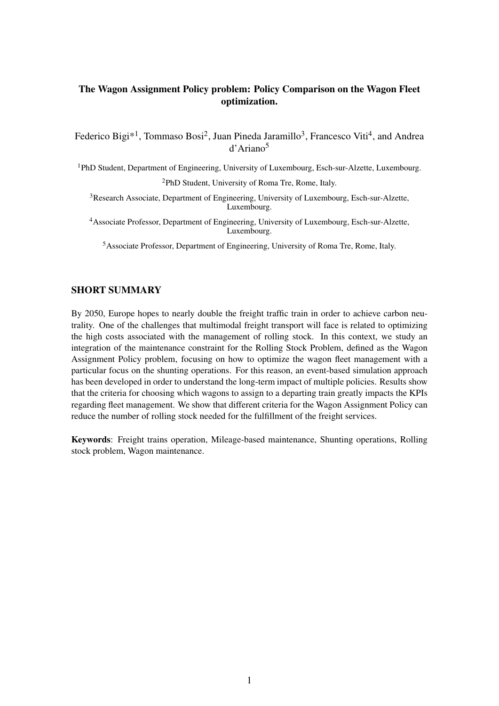# The Wagon Assignment Policy problem: Policy Comparison on the Wagon Fleet optimization.

Federico Bigi<sup>\*1</sup>, Tommaso Bosi<sup>2</sup>, Juan Pineda Jaramillo<sup>3</sup>, Francesco Viti<sup>4</sup>, and Andrea d'Ariano<sup>5</sup>

<sup>1</sup>PhD Student, Department of Engineering, University of Luxembourg, Esch-sur-Alzette, Luxembourg.

<sup>2</sup>PhD Student, University of Roma Tre, Rome, Italy.

<sup>3</sup>Research Associate, Department of Engineering, University of Luxembourg, Esch-sur-Alzette, Luxembourg.

<sup>4</sup>Associate Professor, Department of Engineering, University of Luxembourg, Esch-sur-Alzette, Luxembourg.

<sup>5</sup>Associate Professor, Department of Engineering, University of Roma Tre, Rome, Italy.

# SHORT SUMMARY

By 2050, Europe hopes to nearly double the freight traffic train in order to achieve carbon neutrality. One of the challenges that multimodal freight transport will face is related to optimizing the high costs associated with the management of rolling stock. In this context, we study an integration of the maintenance constraint for the Rolling Stock Problem, defined as the Wagon Assignment Policy problem, focusing on how to optimize the wagon fleet management with a particular focus on the shunting operations. For this reason, an event-based simulation approach has been developed in order to understand the long-term impact of multiple policies. Results show that the criteria for choosing which wagons to assign to a departing train greatly impacts the KPIs regarding fleet management. We show that different criteria for the Wagon Assignment Policy can reduce the number of rolling stock needed for the fulfillment of the freight services.

Keywords: Freight trains operation, Mileage-based maintenance, Shunting operations, Rolling stock problem, Wagon maintenance.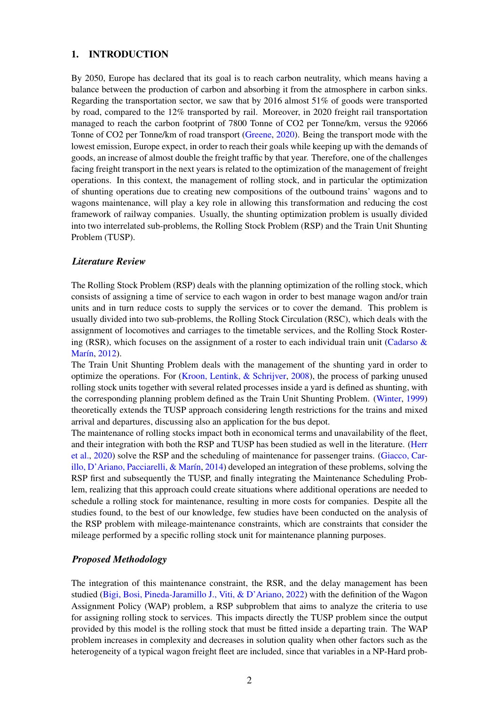# 1. INTRODUCTION

By 2050, Europe has declared that its goal is to reach carbon neutrality, which means having a balance between the production of carbon and absorbing it from the atmosphere in carbon sinks. Regarding the transportation sector, we saw that by 2016 almost 51% of goods were transported by road, compared to the 12% transported by rail. Moreover, in 2020 freight rail transportation managed to reach the carbon footprint of 7800 Tonne of CO2 per Tonne/km, versus the 92066 Tonne of CO2 per Tonne/km of road transport [\(Greene,](#page-6-0) [2020\)](#page-6-0). Being the transport mode with the lowest emission, Europe expect, in order to reach their goals while keeping up with the demands of goods, an increase of almost double the freight traffic by that year. Therefore, one of the challenges facing freight transport in the next years is related to the optimization of the management of freight operations. In this context, the management of rolling stock, and in particular the optimization of shunting operations due to creating new compositions of the outbound trains' wagons and to wagons maintenance, will play a key role in allowing this transformation and reducing the cost framework of railway companies. Usually, the shunting optimization problem is usually divided into two interrelated sub-problems, the Rolling Stock Problem (RSP) and the Train Unit Shunting Problem (TUSP).

## *Literature Review*

The Rolling Stock Problem (RSP) deals with the planning optimization of the rolling stock, which consists of assigning a time of service to each wagon in order to best manage wagon and/or train units and in turn reduce costs to supply the services or to cover the demand. This problem is usually divided into two sub-problems, the Rolling Stock Circulation (RSC), which deals with the assignment of locomotives and carriages to the timetable services, and the Rolling Stock Rostering (RSR), which focuses on the assignment of a roster to each individual train unit (Cadarso  $\&$ [Marín,](#page-5-0) [2012\)](#page-5-0).

The Train Unit Shunting Problem deals with the management of the shunting yard in order to optimize the operations. For [\(Kroon, Lentink, & Schrijver,](#page-6-1) [2008\)](#page-6-1), the process of parking unused rolling stock units together with several related processes inside a yard is defined as shunting, with the corresponding planning problem defined as the Train Unit Shunting Problem. [\(Winter,](#page-6-2) [1999\)](#page-6-2) theoretically extends the TUSP approach considering length restrictions for the trains and mixed arrival and departures, discussing also an application for the bus depot.

The maintenance of rolling stocks impact both in economical terms and unavailability of the fleet, and their integration with both the RSP and TUSP has been studied as well in the literature. [\(Herr](#page-6-3) [et al.,](#page-6-3) [2020\)](#page-6-3) solve the RSP and the scheduling of maintenance for passenger trains. [\(Giacco, Car](#page-6-4)[illo, D'Ariano, Pacciarelli, & Marín,](#page-6-4) [2014\)](#page-6-4) developed an integration of these problems, solving the RSP first and subsequently the TUSP, and finally integrating the Maintenance Scheduling Problem, realizing that this approach could create situations where additional operations are needed to schedule a rolling stock for maintenance, resulting in more costs for companies. Despite all the studies found, to the best of our knowledge, few studies have been conducted on the analysis of the RSP problem with mileage-maintenance constraints, which are constraints that consider the mileage performed by a specific rolling stock unit for maintenance planning purposes.

## *Proposed Methodology*

The integration of this maintenance constraint, the RSR, and the delay management has been studied [\(Bigi, Bosi, Pineda-Jaramillo J., Viti, & D'Ariano,](#page-5-1) [2022\)](#page-5-1) with the definition of the Wagon Assignment Policy (WAP) problem, a RSP subproblem that aims to analyze the criteria to use for assigning rolling stock to services. This impacts directly the TUSP problem since the output provided by this model is the rolling stock that must be fitted inside a departing train. The WAP problem increases in complexity and decreases in solution quality when other factors such as the heterogeneity of a typical wagon freight fleet are included, since that variables in a NP-Hard prob-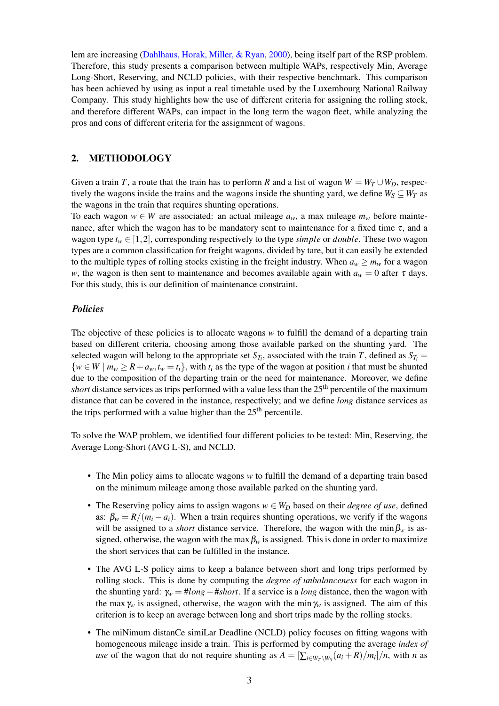lem are increasing [\(Dahlhaus, Horak, Miller, & Ryan,](#page-5-2) [2000\)](#page-5-2), being itself part of the RSP problem. Therefore, this study presents a comparison between multiple WAPs, respectively Min, Average Long-Short, Reserving, and NCLD policies, with their respective benchmark. This comparison has been achieved by using as input a real timetable used by the Luxembourg National Railway Company. This study highlights how the use of different criteria for assigning the rolling stock, and therefore different WAPs, can impact in the long term the wagon fleet, while analyzing the pros and cons of different criteria for the assignment of wagons.

### 2. METHODOLOGY

Given a train *T*, a route that the train has to perform *R* and a list of wagon  $W = W_T \cup W_D$ , respectively the wagons inside the trains and the wagons inside the shunting yard, we define  $W_S \subseteq W_T$  as the wagons in the train that requires shunting operations.

To each wagon  $w \in W$  are associated: an actual mileage  $a_w$ , a max mileage  $m_w$  before maintenance, after which the wagon has to be mandatory sent to maintenance for a fixed time  $\tau$ , and a wagon type  $t_w \in [1,2]$ , corresponding respectively to the type *simple* or *double*. These two wagon types are a common classification for freight wagons, divided by tare, but it can easily be extended to the multiple types of rolling stocks existing in the freight industry. When  $a_w \ge m_w$  for a wagon *w*, the wagon is then sent to maintenance and becomes available again with  $a_w = 0$  after  $\tau$  days. For this study, this is our definition of maintenance constraint.

### *Policies*

The objective of these policies is to allocate wagons *w* to fulfill the demand of a departing train based on different criteria, choosing among those available parked on the shunting yard. The selected wagon will belong to the appropriate set  $S_{T_i}$ , associated with the train *T*, defined as  $S_{T_i}$  =  $\{w \in W \mid m_w \ge R + a_w, t_w = t_i\}$ , with  $t_i$  as the type of the wagon at position *i* that must be shunted due to the composition of the departing train or the need for maintenance. Moreover, we define *short* distance services as trips performed with a value less than the 25<sup>th</sup> percentile of the maximum distance that can be covered in the instance, respectively; and we define *long* distance services as the trips performed with a value higher than the  $25<sup>th</sup>$  percentile.

To solve the WAP problem, we identified four different policies to be tested: Min, Reserving, the Average Long-Short (AVG L-S), and NCLD.

- The Min policy aims to allocate wagons *w* to fulfill the demand of a departing train based on the minimum mileage among those available parked on the shunting yard.
- The Reserving policy aims to assign wagons *w* ∈ *W<sup>D</sup>* based on their *degree of use*, defined as:  $\beta_w = R/(m_i - a_i)$ . When a train requires shunting operations, we verify if the wagons will be assigned to a *short* distance service. Therefore, the wagon with the min $\beta_w$  is assigned, otherwise, the wagon with the max  $\beta_w$  is assigned. This is done in order to maximize the short services that can be fulfilled in the instance.
- The AVG L-S policy aims to keep a balance between short and long trips performed by rolling stock. This is done by computing the *degree of unbalanceness* for each wagon in the shunting yard: γ*<sup>w</sup>* = #*long*−#*short*. If a service is a *long* distance, then the wagon with the max  $\gamma_w$  is assigned, otherwise, the wagon with the min  $\gamma_w$  is assigned. The aim of this criterion is to keep an average between long and short trips made by the rolling stocks.
- The miNimum distanCe simiLar Deadline (NCLD) policy focuses on fitting wagons with homogeneous mileage inside a train. This is performed by computing the average *index of use* of the wagon that do not require shunting as  $A = \left[\sum_{i \in W_T \setminus W_S}(a_i + R)/m_i\right]/n$ , with *n* as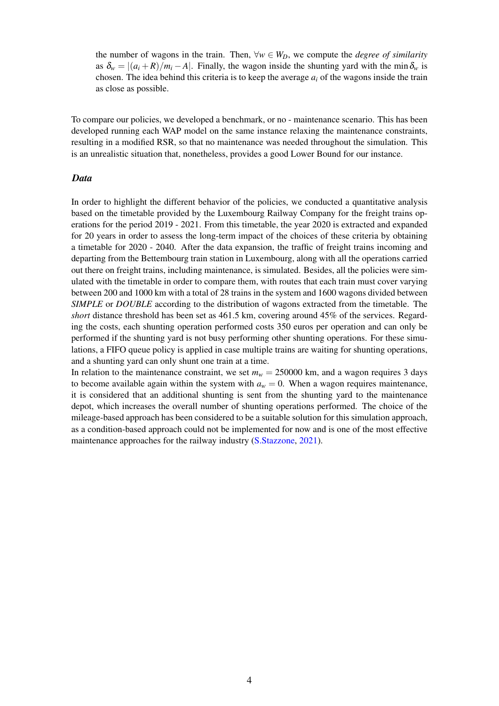the number of wagons in the train. Then,  $\forall w \in W_D$ , we compute the *degree of similarity* as  $\delta_w = |(a_i + R)/m_i - A|$ . Finally, the wagon inside the shunting yard with the min  $\delta_w$  is chosen. The idea behind this criteria is to keep the average  $a_i$  of the wagons inside the train as close as possible.

To compare our policies, we developed a benchmark, or no - maintenance scenario. This has been developed running each WAP model on the same instance relaxing the maintenance constraints, resulting in a modified RSR, so that no maintenance was needed throughout the simulation. This is an unrealistic situation that, nonetheless, provides a good Lower Bound for our instance.

#### *Data*

In order to highlight the different behavior of the policies, we conducted a quantitative analysis based on the timetable provided by the Luxembourg Railway Company for the freight trains operations for the period 2019 - 2021. From this timetable, the year 2020 is extracted and expanded for 20 years in order to assess the long-term impact of the choices of these criteria by obtaining a timetable for 2020 - 2040. After the data expansion, the traffic of freight trains incoming and departing from the Bettembourg train station in Luxembourg, along with all the operations carried out there on freight trains, including maintenance, is simulated. Besides, all the policies were simulated with the timetable in order to compare them, with routes that each train must cover varying between 200 and 1000 km with a total of 28 trains in the system and 1600 wagons divided between *SIMPLE* or *DOUBLE* according to the distribution of wagons extracted from the timetable. The *short* distance threshold has been set as 461.5 km, covering around 45% of the services. Regarding the costs, each shunting operation performed costs 350 euros per operation and can only be performed if the shunting yard is not busy performing other shunting operations. For these simulations, a FIFO queue policy is applied in case multiple trains are waiting for shunting operations, and a shunting yard can only shunt one train at a time.

In relation to the maintenance constraint, we set  $m_w = 250000$  km, and a wagon requires 3 days to become available again within the system with  $a_w = 0$ . When a wagon requires maintenance, it is considered that an additional shunting is sent from the shunting yard to the maintenance depot, which increases the overall number of shunting operations performed. The choice of the mileage-based approach has been considered to be a suitable solution for this simulation approach, as a condition-based approach could not be implemented for now and is one of the most effective maintenance approaches for the railway industry [\(S.Stazzone,](#page-6-5) [2021\)](#page-6-5).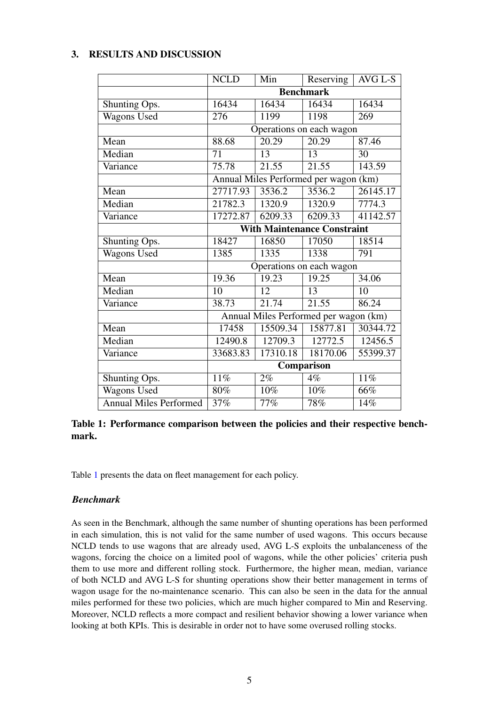<span id="page-4-0"></span>

| 3. RESULTS AND DISCUSSION |
|---------------------------|
|---------------------------|

|                               | <b>NCLD</b>                           | Min                | Reserving | <b>AVG L-S</b> |
|-------------------------------|---------------------------------------|--------------------|-----------|----------------|
|                               | <b>Benchmark</b>                      |                    |           |                |
| Shunting Ops.                 | 16434                                 | 16434              | 16434     | 16434          |
| <b>Wagons Used</b>            | 276                                   | 1199               | 1198      | 269            |
|                               | Operations on each wagon              |                    |           |                |
| Mean                          | 88.68                                 | 20.29              | 20.29     | 87.46          |
| Median                        | 71                                    | 13                 | 13        | 30             |
| Variance                      | 75.78                                 | 21.55              | 21.55     | 143.59         |
|                               | Annual Miles Performed per wagon (km) |                    |           |                |
| Mean                          | 27717.93                              | 3536.2             | 3536.2    | 26145.17       |
| Median                        | 21782.3                               | 1320.9             | 1320.9    | 7774.3         |
| Variance                      | 17272.87                              | 6209.33            | 6209.33   | 41142.57       |
|                               | <b>With Maintenance Constraint</b>    |                    |           |                |
| Shunting Ops.                 | 18427                                 | 16850              | 17050     | 18514          |
| Wagons Used                   | 1385                                  | 1335               | 1338      | 791            |
|                               | Operations on each wagon              |                    |           |                |
| Mean                          | 19.36                                 | 19.23              | 19.25     | 34.06          |
| Median                        | 10                                    | 12                 | 13        | 10             |
| Variance                      | 38.73                                 | $2\overline{1.74}$ | 21.55     | 86.24          |
|                               | Annual Miles Performed per wagon (km) |                    |           |                |
| Mean                          | 17458                                 | 15509.34           | 15877.81  | 30344.72       |
| Median                        | 12490.8                               | 12709.3            | 12772.5   | 12456.5        |
| Variance                      | 33683.83                              | 17310.18           | 18170.06  | 55399.37       |
|                               | Comparison                            |                    |           |                |
| Shunting Ops.                 | 11%                                   | $\overline{2\%}$   | $4\%$     | 11%            |
| <b>Wagons Used</b>            | 80%                                   | 10%                | 10%       | 66%            |
| <b>Annual Miles Performed</b> | 37%                                   | 77%                | 78%       | 14%            |

Table 1: Performance comparison between the policies and their respective benchmark.

Table [1](#page-4-0) presents the data on fleet management for each policy.

# *Benchmark*

As seen in the Benchmark, although the same number of shunting operations has been performed in each simulation, this is not valid for the same number of used wagons. This occurs because NCLD tends to use wagons that are already used, AVG L-S exploits the unbalanceness of the wagons, forcing the choice on a limited pool of wagons, while the other policies' criteria push them to use more and different rolling stock. Furthermore, the higher mean, median, variance of both NCLD and AVG L-S for shunting operations show their better management in terms of wagon usage for the no-maintenance scenario. This can also be seen in the data for the annual miles performed for these two policies, which are much higher compared to Min and Reserving. Moreover, NCLD reflects a more compact and resilient behavior showing a lower variance when looking at both KPIs. This is desirable in order not to have some overused rolling stocks.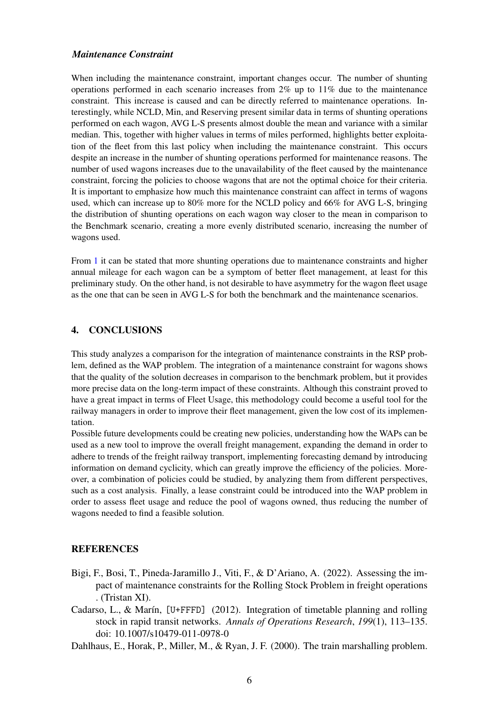### *Maintenance Constraint*

When including the maintenance constraint, important changes occur. The number of shunting operations performed in each scenario increases from  $2\%$  up to  $11\%$  due to the maintenance constraint. This increase is caused and can be directly referred to maintenance operations. Interestingly, while NCLD, Min, and Reserving present similar data in terms of shunting operations performed on each wagon, AVG L-S presents almost double the mean and variance with a similar median. This, together with higher values in terms of miles performed, highlights better exploitation of the fleet from this last policy when including the maintenance constraint. This occurs despite an increase in the number of shunting operations performed for maintenance reasons. The number of used wagons increases due to the unavailability of the fleet caused by the maintenance constraint, forcing the policies to choose wagons that are not the optimal choice for their criteria. It is important to emphasize how much this maintenance constraint can affect in terms of wagons used, which can increase up to 80% more for the NCLD policy and 66% for AVG L-S, bringing the distribution of shunting operations on each wagon way closer to the mean in comparison to the Benchmark scenario, creating a more evenly distributed scenario, increasing the number of wagons used.

From [1](#page-4-0) it can be stated that more shunting operations due to maintenance constraints and higher annual mileage for each wagon can be a symptom of better fleet management, at least for this preliminary study. On the other hand, is not desirable to have asymmetry for the wagon fleet usage as the one that can be seen in AVG L-S for both the benchmark and the maintenance scenarios.

# 4. CONCLUSIONS

This study analyzes a comparison for the integration of maintenance constraints in the RSP problem, defined as the WAP problem. The integration of a maintenance constraint for wagons shows that the quality of the solution decreases in comparison to the benchmark problem, but it provides more precise data on the long-term impact of these constraints. Although this constraint proved to have a great impact in terms of Fleet Usage, this methodology could become a useful tool for the railway managers in order to improve their fleet management, given the low cost of its implementation.

Possible future developments could be creating new policies, understanding how the WAPs can be used as a new tool to improve the overall freight management, expanding the demand in order to adhere to trends of the freight railway transport, implementing forecasting demand by introducing information on demand cyclicity, which can greatly improve the efficiency of the policies. Moreover, a combination of policies could be studied, by analyzing them from different perspectives, such as a cost analysis. Finally, a lease constraint could be introduced into the WAP problem in order to assess fleet usage and reduce the pool of wagons owned, thus reducing the number of wagons needed to find a feasible solution.

### **REFERENCES**

- <span id="page-5-1"></span>Bigi, F., Bosi, T., Pineda-Jaramillo J., Viti, F., & D'Ariano, A. (2022). Assessing the impact of maintenance constraints for the Rolling Stock Problem in freight operations . (Tristan XI).
- <span id="page-5-0"></span>Cadarso, L., & Marín, [U+FFFD] (2012). Integration of timetable planning and rolling stock in rapid transit networks. *Annals of Operations Research*, *199*(1), 113–135. doi: 10.1007/s10479-011-0978-0
- <span id="page-5-2"></span>Dahlhaus, E., Horak, P., Miller, M., & Ryan, J. F. (2000). The train marshalling problem.